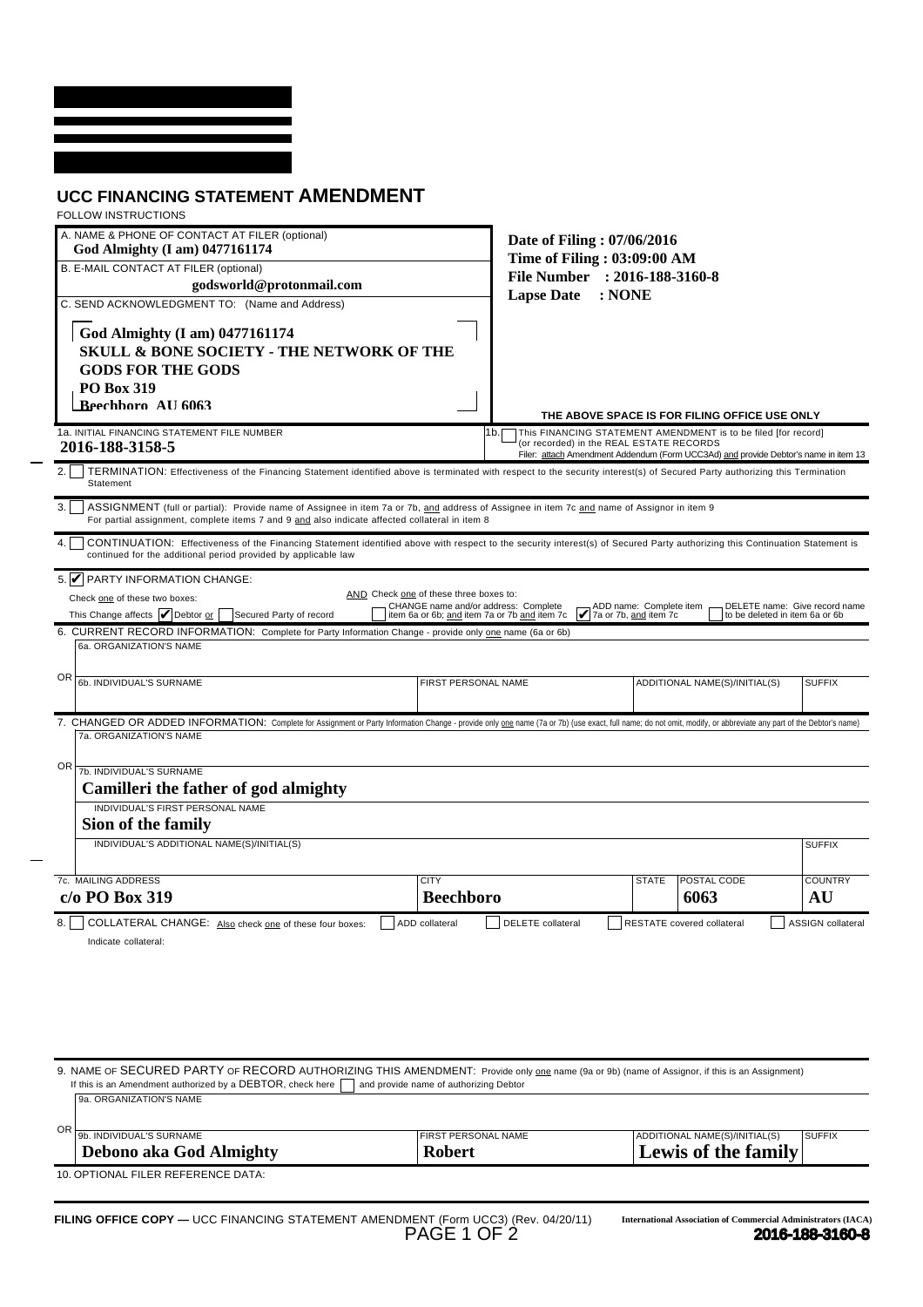## **UCC FINANCING STATEMENT AMENDMENT** FOLLOW INSTRUCTIONS

| FULLUW INSTRUCTIONS                                                                                                                                                                                                                                  |                                                                                |                                                                                                                                                                                                          |                         |                                                                     |                                |                               |
|------------------------------------------------------------------------------------------------------------------------------------------------------------------------------------------------------------------------------------------------------|--------------------------------------------------------------------------------|----------------------------------------------------------------------------------------------------------------------------------------------------------------------------------------------------------|-------------------------|---------------------------------------------------------------------|--------------------------------|-------------------------------|
| A. NAME & PHONE OF CONTACT AT FILER (optional)<br>God Almighty (I am) 0477161174                                                                                                                                                                     | Date of Filing: 07/06/2016                                                     |                                                                                                                                                                                                          |                         |                                                                     |                                |                               |
| B. E-MAIL CONTACT AT FILER (optional)                                                                                                                                                                                                                | Time of Filing: 03:09:00 AM                                                    |                                                                                                                                                                                                          |                         |                                                                     |                                |                               |
| godsworld@protonmail.com                                                                                                                                                                                                                             |                                                                                | File Number : 2016-188-3160-8                                                                                                                                                                            |                         |                                                                     |                                |                               |
| C. SEND ACKNOWLEDGMENT TO: (Name and Address)                                                                                                                                                                                                        |                                                                                | <b>Lapse Date</b><br>: NONE                                                                                                                                                                              |                         |                                                                     |                                |                               |
| God Almighty (I am) 0477161174<br><b>SKULL &amp; BONE SOCIETY - THE NETWORK OF THE</b><br><b>GODS FOR THE GODS</b>                                                                                                                                   |                                                                                |                                                                                                                                                                                                          |                         |                                                                     |                                |                               |
| <b>PO Box 319</b>                                                                                                                                                                                                                                    |                                                                                |                                                                                                                                                                                                          |                         |                                                                     |                                |                               |
| Reechhoro AII 6063                                                                                                                                                                                                                                   |                                                                                |                                                                                                                                                                                                          |                         |                                                                     |                                |                               |
|                                                                                                                                                                                                                                                      |                                                                                | THE ABOVE SPACE IS FOR FILING OFFICE USE ONLY                                                                                                                                                            |                         |                                                                     |                                |                               |
| 1a. INITIAL FINANCING STATEMENT FILE NUMBER<br>2016-188-3158-5                                                                                                                                                                                       |                                                                                | 1b.<br>This FINANCING STATEMENT AMENDMENT is to be filed [for record]<br>(or recorded) in the REAL ESTATE RECORDS<br>Filer: attach Amendment Addendum (Form UCC3Ad) and provide Debtor's name in item 13 |                         |                                                                     |                                |                               |
| TERMINATION: Effectiveness of the Financing Statement identified above is terminated with respect to the security interest(s) of Secured Party authorizing this Termination<br>Statement                                                             |                                                                                |                                                                                                                                                                                                          |                         |                                                                     |                                |                               |
| 3.1<br>ASSIGNMENT (full or partial): Provide name of Assignee in item 7a or 7b, and address of Assignee in item 7c and name of Assignor in item 9<br>For partial assignment, complete items 7 and 9 and also indicate affected collateral in item 8  |                                                                                |                                                                                                                                                                                                          |                         |                                                                     |                                |                               |
| 4.<br>CONTINUATION: Effectiveness of the Financing Statement identified above with respect to the security interest(s) of Secured Party authorizing this Continuation Statement is<br>continued for the additional period provided by applicable law |                                                                                |                                                                                                                                                                                                          |                         |                                                                     |                                |                               |
| 5. $\blacksquare$ PARTY INFORMATION CHANGE:                                                                                                                                                                                                          |                                                                                |                                                                                                                                                                                                          |                         |                                                                     |                                |                               |
| Check one of these two boxes:                                                                                                                                                                                                                        | AND Check one of these three boxes to:<br>CHANGE name and/or address: Complete |                                                                                                                                                                                                          | ADD name: Complete item |                                                                     |                                | DELETE name: Give record name |
| This Change affects   Debtor or<br>Secured Party of record                                                                                                                                                                                           | item 6a or 6b; and item 7a or 7b and item 7c                                   | 7a or 7b, and item 7c                                                                                                                                                                                    |                         |                                                                     | to be deleted in item 6a or 6b |                               |
| 6. CURRENT RECORD INFORMATION: Complete for Party Information Change - provide only one name (6a or 6b)<br>6a. ORGANIZATION'S NAME                                                                                                                   |                                                                                |                                                                                                                                                                                                          |                         |                                                                     |                                |                               |
|                                                                                                                                                                                                                                                      |                                                                                |                                                                                                                                                                                                          |                         |                                                                     |                                |                               |
| OR<br>6b. INDIVIDUAL'S SURNAME                                                                                                                                                                                                                       | FIRST PERSONAL NAME                                                            |                                                                                                                                                                                                          |                         | ADDITIONAL NAME(S)/INITIAL(S)                                       |                                | <b>SUFFIX</b>                 |
| 7. CHANGED OR ADDED INFORMATION: Complete for Assignment or Party Information Change - provide only one name (7a or 7b) (use exact, full name; do not omit, modify, or abbreviate any part of the Debtor's name)                                     |                                                                                |                                                                                                                                                                                                          |                         |                                                                     |                                |                               |
| 7a. ORGANIZATION'S NAME                                                                                                                                                                                                                              |                                                                                |                                                                                                                                                                                                          |                         |                                                                     |                                |                               |
| 0R<br>7b. INDIVIDUAL'S SURNAME                                                                                                                                                                                                                       |                                                                                |                                                                                                                                                                                                          |                         |                                                                     |                                |                               |
| Camilleri the father of god almighty                                                                                                                                                                                                                 |                                                                                |                                                                                                                                                                                                          |                         |                                                                     |                                |                               |
| INDIVIDUAL'S FIRST PERSONAL NAME                                                                                                                                                                                                                     |                                                                                |                                                                                                                                                                                                          |                         |                                                                     |                                |                               |
| Sion of the family<br>INDIVIDUAL'S ADDITIONAL NAME(S)/INITIAL(S)                                                                                                                                                                                     |                                                                                |                                                                                                                                                                                                          |                         |                                                                     |                                |                               |
|                                                                                                                                                                                                                                                      |                                                                                |                                                                                                                                                                                                          |                         |                                                                     |                                | <b>SUFFIX</b>                 |
| 7c. MAILING ADDRESS                                                                                                                                                                                                                                  | <b>CITY</b>                                                                    |                                                                                                                                                                                                          | <b>STATE</b>            | POSTAL CODE                                                         |                                | <b>COUNTRY</b>                |
| c/o PO Box 319                                                                                                                                                                                                                                       | <b>Beechboro</b>                                                               |                                                                                                                                                                                                          |                         | 6063                                                                |                                | AU                            |
| 8.<br>COLLATERAL CHANGE: Also check one of these four boxes:                                                                                                                                                                                         | ADD collateral                                                                 | DELETE collateral                                                                                                                                                                                        |                         | RESTATE covered collateral                                          |                                | <b>ASSIGN</b> collateral      |
| Indicate collateral:                                                                                                                                                                                                                                 |                                                                                |                                                                                                                                                                                                          |                         |                                                                     |                                |                               |
|                                                                                                                                                                                                                                                      |                                                                                |                                                                                                                                                                                                          |                         |                                                                     |                                |                               |
| 9. NAME OF SECURED PARTY OF RECORD AUTHORIZING THIS AMENDMENT: Provide only one name (9a or 9b) (name of Assignor, if this is an Assignment)                                                                                                         |                                                                                |                                                                                                                                                                                                          |                         |                                                                     |                                |                               |
| If this is an Amendment authorized by a DEBTOR, check here<br>9a. ORGANIZATION'S NAME                                                                                                                                                                | and provide name of authorizing Debtor                                         |                                                                                                                                                                                                          |                         |                                                                     |                                |                               |
| 0R<br>9b. INDIVIDUAL'S SURNAME                                                                                                                                                                                                                       | FIRST PERSONAL NAME                                                            |                                                                                                                                                                                                          |                         | <b>ADDITIONAL NAME(S)/INITIAL(S)</b>                                |                                | <b>SUFFIX</b>                 |
| <b>Debono aka God Almighty</b>                                                                                                                                                                                                                       | <b>Robert</b>                                                                  |                                                                                                                                                                                                          |                         | Lewis of the family                                                 |                                |                               |
| 10. OPTIONAL FILER REFERENCE DATA:                                                                                                                                                                                                                   |                                                                                |                                                                                                                                                                                                          |                         |                                                                     |                                |                               |
|                                                                                                                                                                                                                                                      |                                                                                |                                                                                                                                                                                                          |                         |                                                                     |                                |                               |
|                                                                                                                                                                                                                                                      |                                                                                |                                                                                                                                                                                                          |                         | <b>International Association of Commercial Administrators (IACA</b> |                                |                               |
| FILING OFFICE COPY — UCC FINANCING STATEMENT AMENDMENT (Form UCC3) (Rev. 04/20/11)                                                                                                                                                                   | PAGE 1 OF 2                                                                    |                                                                                                                                                                                                          |                         |                                                                     |                                | 2016-188-3160-8               |

| OR 9b. INDIVIDUAL'S SURNAME | <b>IFIRST PERSONAL NAME</b> | ADDITIONAL NAME(S)/INITIAL(S) | <b>SUFFIX</b> |
|-----------------------------|-----------------------------|-------------------------------|---------------|
| Debono aka God Almighty     | Robert                      | Lewis of the family           |               |
|                             |                             |                               |               |